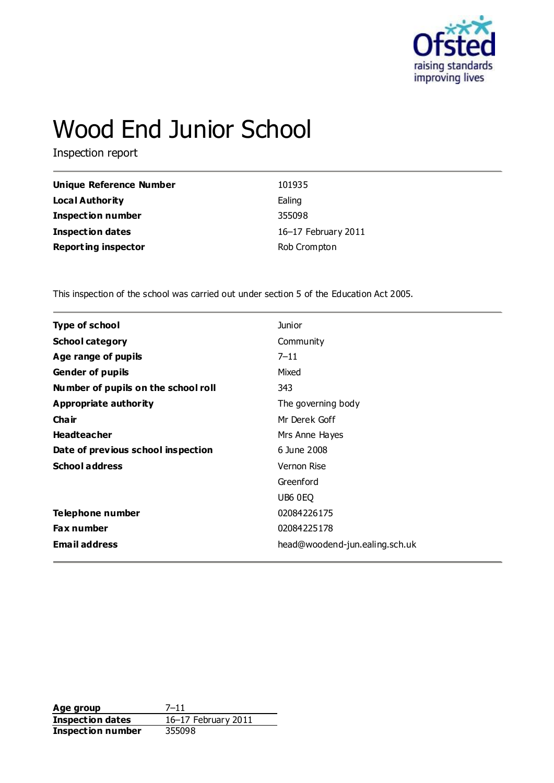

# Wood End Junior School

Inspection report

| Unique Reference Number    | 101935              |
|----------------------------|---------------------|
| Local Authority            | Ealing              |
| <b>Inspection number</b>   | 355098              |
| <b>Inspection dates</b>    | 16-17 February 2011 |
| <b>Reporting inspector</b> | Rob Crompton        |

This inspection of the school was carried out under section 5 of the Education Act 2005.

| <b>Type of school</b>               | <b>Junior</b>                  |
|-------------------------------------|--------------------------------|
| <b>School category</b>              | Community                      |
| Age range of pupils                 | $7 - 11$                       |
| <b>Gender of pupils</b>             | Mixed                          |
| Number of pupils on the school roll | 343                            |
| Appropriate authority               | The governing body             |
| Cha ir                              | Mr Derek Goff                  |
| <b>Headteacher</b>                  | Mrs Anne Hayes                 |
| Date of previous school inspection  | 6 June 2008                    |
| <b>School address</b>               | Vernon Rise                    |
|                                     | Greenford                      |
|                                     | UB6 0EQ                        |
| Telephone number                    | 02084226175                    |
| <b>Fax number</b>                   | 02084225178                    |
| <b>Email address</b>                | head@woodend-jun.ealing.sch.uk |
|                                     |                                |

**Age group** 7-11<br> **Inspection dates** 16-17 February 2011 **Inspection dates** 16–17 February 2011 **Inspection number** 355098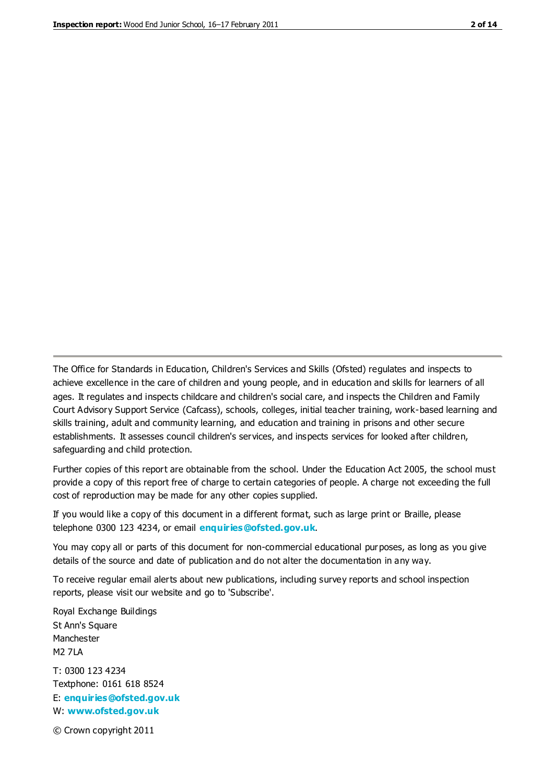The Office for Standards in Education, Children's Services and Skills (Ofsted) regulates and inspects to achieve excellence in the care of children and young people, and in education and skills for learners of all ages. It regulates and inspects childcare and children's social care, and inspects the Children and Family Court Advisory Support Service (Cafcass), schools, colleges, initial teacher training, work-based learning and skills training, adult and community learning, and education and training in prisons and other secure establishments. It assesses council children's services, and inspects services for looked after children, safeguarding and child protection.

Further copies of this report are obtainable from the school. Under the Education Act 2005, the school must provide a copy of this report free of charge to certain categories of people. A charge not exceeding the full cost of reproduction may be made for any other copies supplied.

If you would like a copy of this document in a different format, such as large print or Braille, please telephone 0300 123 4234, or email **[enquiries@ofsted.gov.uk](mailto:enquiries@ofsted.gov.uk)**.

You may copy all or parts of this document for non-commercial educational purposes, as long as you give details of the source and date of publication and do not alter the documentation in any way.

To receive regular email alerts about new publications, including survey reports and school inspection reports, please visit our website and go to 'Subscribe'.

Royal Exchange Buildings St Ann's Square Manchester M2 7LA T: 0300 123 4234 Textphone: 0161 618 8524 E: **[enquiries@ofsted.gov.uk](mailto:enquiries@ofsted.gov.uk)**

W: **[www.ofsted.gov.uk](http://www.ofsted.gov.uk/)**

© Crown copyright 2011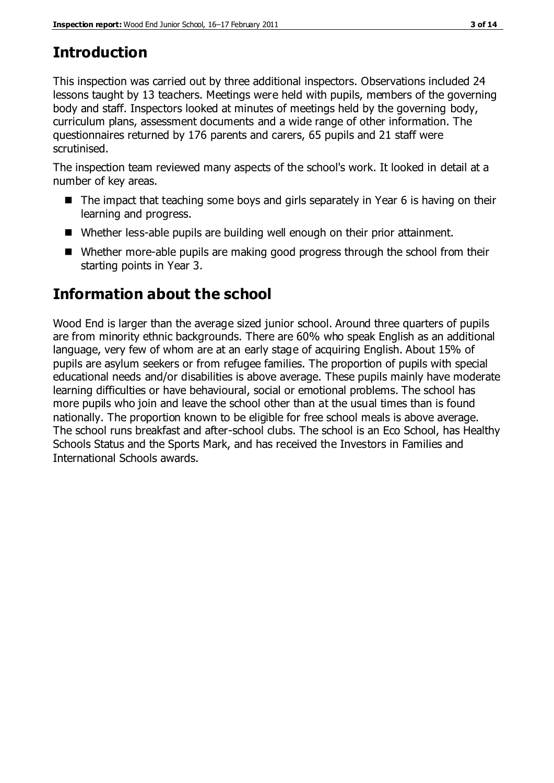# **Introduction**

This inspection was carried out by three additional inspectors. Observations included 24 lessons taught by 13 teachers. Meetings were held with pupils, members of the governing body and staff. Inspectors looked at minutes of meetings held by the governing body, curriculum plans, assessment documents and a wide range of other information. The questionnaires returned by 176 parents and carers, 65 pupils and 21 staff were scrutinised.

The inspection team reviewed many aspects of the school's work. It looked in detail at a number of key areas.

- The impact that teaching some boys and girls separately in Year 6 is having on their learning and progress.
- Whether less-able pupils are building well enough on their prior attainment.
- Whether more-able pupils are making good progress through the school from their starting points in Year 3.

# **Information about the school**

Wood End is larger than the average sized junior school. Around three quarters of pupils are from minority ethnic backgrounds. There are 60% who speak English as an additional language, very few of whom are at an early stage of acquiring English. About 15% of pupils are asylum seekers or from refugee families. The proportion of pupils with special educational needs and/or disabilities is above average. These pupils mainly have moderate learning difficulties or have behavioural, social or emotional problems. The school has more pupils who join and leave the school other than at the usual times than is found nationally. The proportion known to be eligible for free school meals is above average. The school runs breakfast and after-school clubs. The school is an Eco School, has Healthy Schools Status and the Sports Mark, and has received the Investors in Families and International Schools awards.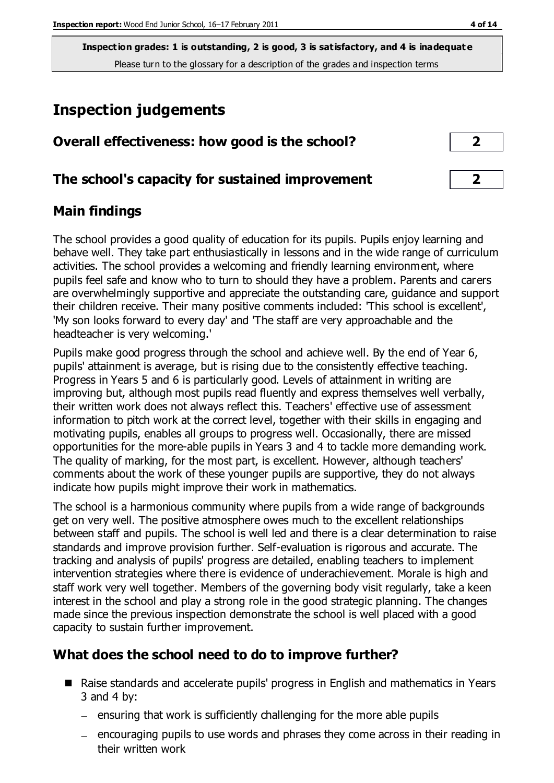# **Inspection judgements**

| Overall effectiveness: how good is the school?  |  |
|-------------------------------------------------|--|
| The school's capacity for sustained improvement |  |

#### **Main findings**

The school provides a good quality of education for its pupils. Pupils enjoy learning and behave well. They take part enthusiastically in lessons and in the wide range of curriculum activities. The school provides a welcoming and friendly learning environment, where pupils feel safe and know who to turn to should they have a problem. Parents and carers are overwhelmingly supportive and appreciate the outstanding care, guidance and support their children receive. Their many positive comments included: 'This school is excellent', 'My son looks forward to every day' and 'The staff are very approachable and the headteacher is very welcoming.'

Pupils make good progress through the school and achieve well. By the end of Year 6, pupils' attainment is average, but is rising due to the consistently effective teaching. Progress in Years 5 and 6 is particularly good. Levels of attainment in writing are improving but, although most pupils read fluently and express themselves well verbally, their written work does not always reflect this. Teachers' effective use of assessment information to pitch work at the correct level, together with their skills in engaging and motivating pupils, enables all groups to progress well. Occasionally, there are missed opportunities for the more-able pupils in Years 3 and 4 to tackle more demanding work. The quality of marking, for the most part, is excellent. However, although teachers' comments about the work of these younger pupils are supportive, they do not always indicate how pupils might improve their work in mathematics.

The school is a harmonious community where pupils from a wide range of backgrounds get on very well. The positive atmosphere owes much to the excellent relationships between staff and pupils. The school is well led and there is a clear determination to raise standards and improve provision further. Self-evaluation is rigorous and accurate. The tracking and analysis of pupils' progress are detailed, enabling teachers to implement intervention strategies where there is evidence of underachievement. Morale is high and staff work very well together. Members of the governing body visit regularly, take a keen interest in the school and play a strong role in the good strategic planning. The changes made since the previous inspection demonstrate the school is well placed with a good capacity to sustain further improvement.

#### **What does the school need to do to improve further?**

- Raise standards and accelerate pupils' progress in English and mathematics in Years  $3$  and  $4$  by:
	- $\equiv$  ensuring that work is sufficiently challenging for the more able pupils
	- encouraging pupils to use words and phrases they come across in their reading in their written work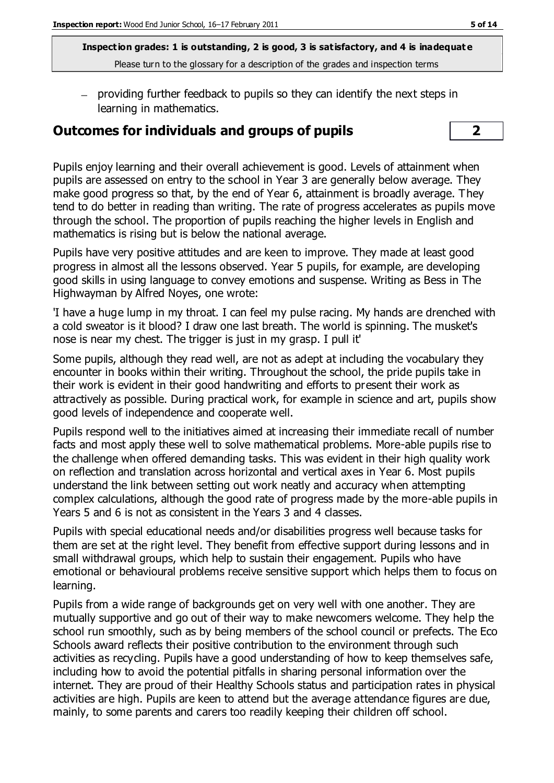providing further feedback to pupils so they can identify the next steps in learning in mathematics.

#### **Outcomes for individuals and groups of pupils 2**

Pupils enjoy learning and their overall achievement is good. Levels of attainment when pupils are assessed on entry to the school in Year 3 are generally below average. They make good progress so that, by the end of Year 6, attainment is broadly average. They tend to do better in reading than writing. The rate of progress accelerates as pupils move through the school. The proportion of pupils reaching the higher levels in English and mathematics is rising but is below the national average.

Pupils have very positive attitudes and are keen to improve. They made at least good progress in almost all the lessons observed. Year 5 pupils, for example, are developing good skills in using language to convey emotions and suspense. Writing as Bess in The Highwayman by Alfred Noyes, one wrote:

'I have a huge lump in my throat. I can feel my pulse racing. My hands are drenched with a cold sweator is it blood? I draw one last breath. The world is spinning. The musket's nose is near my chest. The trigger is just in my grasp. I pull it'

Some pupils, although they read well, are not as adept at including the vocabulary they encounter in books within their writing. Throughout the school, the pride pupils take in their work is evident in their good handwriting and efforts to present their work as attractively as possible. During practical work, for example in science and art, pupils show good levels of independence and cooperate well.

Pupils respond well to the initiatives aimed at increasing their immediate recall of number facts and most apply these well to solve mathematical problems. More-able pupils rise to the challenge when offered demanding tasks. This was evident in their high quality work on reflection and translation across horizontal and vertical axes in Year 6. Most pupils understand the link between setting out work neatly and accuracy when attempting complex calculations, although the good rate of progress made by the more-able pupils in Years 5 and 6 is not as consistent in the Years 3 and 4 classes.

Pupils with special educational needs and/or disabilities progress well because tasks for them are set at the right level. They benefit from effective support during lessons and in small withdrawal groups, which help to sustain their engagement. Pupils who have emotional or behavioural problems receive sensitive support which helps them to focus on learning.

Pupils from a wide range of backgrounds get on very well with one another. They are mutually supportive and go out of their way to make newcomers welcome. They help the school run smoothly, such as by being members of the school council or prefects. The Eco Schools award reflects their positive contribution to the environment through such activities as recycling. Pupils have a good understanding of how to keep themselves safe, including how to avoid the potential pitfalls in sharing personal information over the internet. They are proud of their Healthy Schools status and participation rates in physical activities are high. Pupils are keen to attend but the average attendance figures are due, mainly, to some parents and carers too readily keeping their children off school.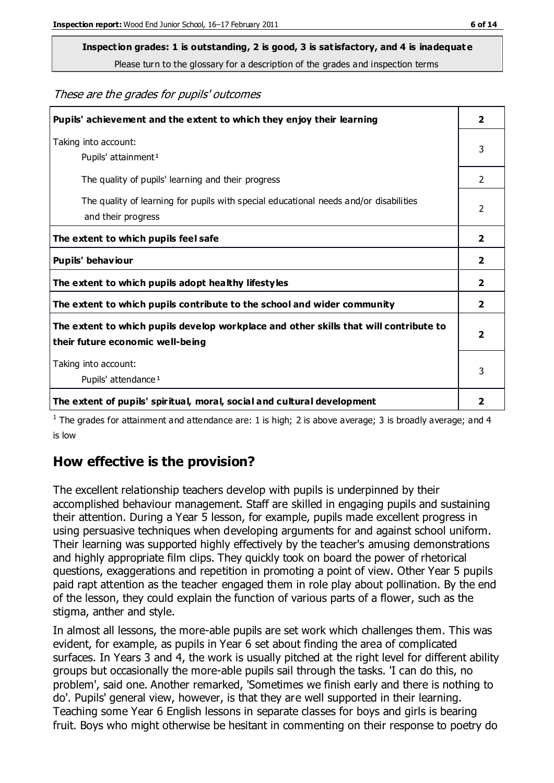# **Inspection grades: 1 is outstanding, 2 is good, 3 is satisfactory, and 4 is inadequat e**

Please turn to the glossary for a description of the grades and inspection terms

#### These are the grades for pupils' outcomes

| Pupils' achievement and the extent to which they enjoy their learning                                                     | 2                       |
|---------------------------------------------------------------------------------------------------------------------------|-------------------------|
| Taking into account:<br>Pupils' attainment <sup>1</sup>                                                                   | 3                       |
| The quality of pupils' learning and their progress                                                                        | $\mathcal{P}$           |
| The quality of learning for pupils with special educational needs and/or disabilities<br>and their progress               | 2                       |
| The extent to which pupils feel safe                                                                                      | $\mathbf{2}$            |
| Pupils' behaviour                                                                                                         | 2                       |
| The extent to which pupils adopt healthy lifestyles                                                                       | 2                       |
| The extent to which pupils contribute to the school and wider community                                                   | $\overline{2}$          |
| The extent to which pupils develop workplace and other skills that will contribute to<br>their future economic well-being | $\overline{\mathbf{2}}$ |
| Taking into account:<br>Pupils' attendance <sup>1</sup>                                                                   | 3                       |
| The extent of pupils' spiritual, moral, social and cultural development                                                   | $\overline{2}$          |

<sup>1</sup> The grades for attainment and attendance are: 1 is high; 2 is above average; 3 is broadly average; and 4 is low

#### **How effective is the provision?**

The excellent relationship teachers develop with pupils is underpinned by their accomplished behaviour management. Staff are skilled in engaging pupils and sustaining their attention. During a Year 5 lesson, for example, pupils made excellent progress in using persuasive techniques when developing arguments for and against school uniform. Their learning was supported highly effectively by the teacher's amusing demonstrations and highly appropriate film clips. They quickly took on board the power of rhetorical questions, exaggerations and repetition in promoting a point of view. Other Year 5 pupils paid rapt attention as the teacher engaged them in role play about pollination. By the end of the lesson, they could explain the function of various parts of a flower, such as the stigma, anther and style.

In almost all lessons, the more-able pupils are set work which challenges them. This was evident, for example, as pupils in Year 6 set about finding the area of complicated surfaces. In Years 3 and 4, the work is usually pitched at the right level for different ability groups but occasionally the more-able pupils sail through the tasks. 'I can do this, no problem', said one. Another remarked, 'Sometimes we finish early and there is nothing to do'. Pupils' general view, however, is that they are well supported in their learning. Teaching some Year 6 English lessons in separate classes for boys and girls is bearing fruit. Boys who might otherwise be hesitant in commenting on their response to poetry do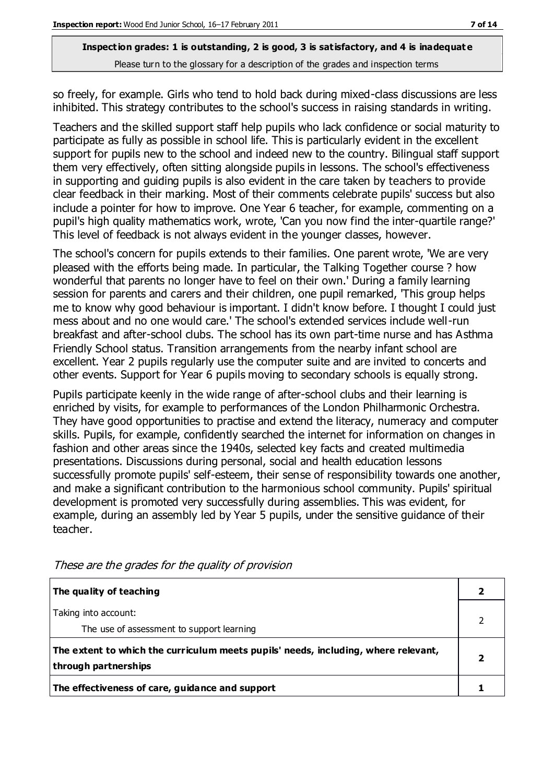so freely, for example. Girls who tend to hold back during mixed-class discussions are less inhibited. This strategy contributes to the school's success in raising standards in writing.

Teachers and the skilled support staff help pupils who lack confidence or social maturity to participate as fully as possible in school life. This is particularly evident in the excellent support for pupils new to the school and indeed new to the country. Bilingual staff support them very effectively, often sitting alongside pupils in lessons. The school's effectiveness in supporting and guiding pupils is also evident in the care taken by teachers to provide clear feedback in their marking. Most of their comments celebrate pupils' success but also include a pointer for how to improve. One Year 6 teacher, for example, commenting on a pupil's high quality mathematics work, wrote, 'Can you now find the inter-quartile range?' This level of feedback is not always evident in the younger classes, however.

The school's concern for pupils extends to their families. One parent wrote, 'We are very pleased with the efforts being made. In particular, the Talking Together course ? how wonderful that parents no longer have to feel on their own.' During a family learning session for parents and carers and their children, one pupil remarked, 'This group helps me to know why good behaviour is important. I didn't know before. I thought I could just mess about and no one would care.' The school's extended services include well-run breakfast and after-school clubs. The school has its own part-time nurse and has Asthma Friendly School status. Transition arrangements from the nearby infant school are excellent. Year 2 pupils regularly use the computer suite and are invited to concerts and other events. Support for Year 6 pupils moving to secondary schools is equally strong.

Pupils participate keenly in the wide range of after-school clubs and their learning is enriched by visits, for example to performances of the London Philharmonic Orchestra. They have good opportunities to practise and extend the literacy, numeracy and computer skills. Pupils, for example, confidently searched the internet for information on changes in fashion and other areas since the 1940s, selected key facts and created multimedia presentations. Discussions during personal, social and health education lessons successfully promote pupils' self-esteem, their sense of responsibility towards one another, and make a significant contribution to the harmonious school community. Pupils' spiritual development is promoted very successfully during assemblies. This was evident, for example, during an assembly led by Year 5 pupils, under the sensitive guidance of their teacher.

| The quality of teaching                                                                                    |  |
|------------------------------------------------------------------------------------------------------------|--|
| Taking into account:<br>The use of assessment to support learning                                          |  |
| The extent to which the curriculum meets pupils' needs, including, where relevant,<br>through partnerships |  |
| The effectiveness of care, guidance and support                                                            |  |

These are the grades for the quality of provision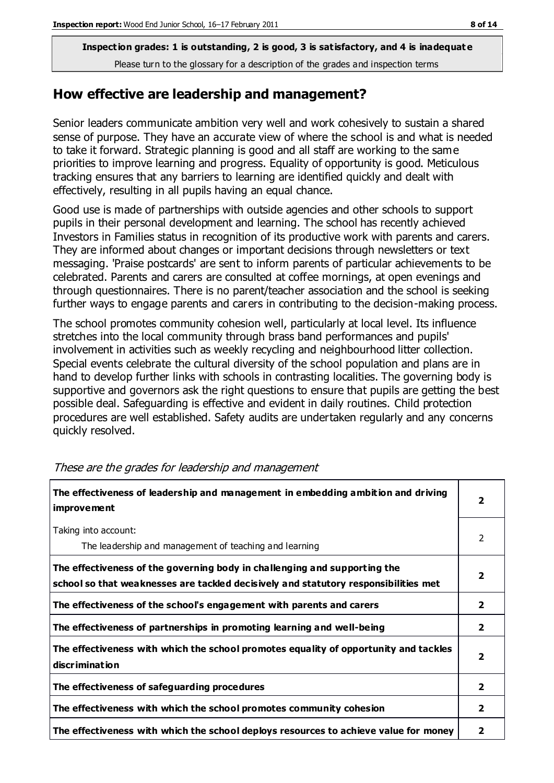#### **How effective are leadership and management?**

Senior leaders communicate ambition very well and work cohesively to sustain a shared sense of purpose. They have an accurate view of where the school is and what is needed to take it forward. Strategic planning is good and all staff are working to the same priorities to improve learning and progress. Equality of opportunity is good. Meticulous tracking ensures that any barriers to learning are identified quickly and dealt with effectively, resulting in all pupils having an equal chance.

Good use is made of partnerships with outside agencies and other schools to support pupils in their personal development and learning. The school has recently achieved Investors in Families status in recognition of its productive work with parents and carers. They are informed about changes or important decisions through newsletters or text messaging. 'Praise postcards' are sent to inform parents of particular achievements to be celebrated. Parents and carers are consulted at coffee mornings, at open evenings and through questionnaires. There is no parent/teacher association and the school is seeking further ways to engage parents and carers in contributing to the decision-making process.

The school promotes community cohesion well, particularly at local level. Its influence stretches into the local community through brass band performances and pupils' involvement in activities such as weekly recycling and neighbourhood litter collection. Special events celebrate the cultural diversity of the school population and plans are in hand to develop further links with schools in contrasting localities. The governing body is supportive and governors ask the right questions to ensure that pupils are getting the best possible deal. Safeguarding is effective and evident in daily routines. Child protection procedures are well established. Safety audits are undertaken regularly and any concerns quickly resolved.

| The effectiveness of leadership and management in embedding ambition and driving<br><i>improvement</i>                                                           |                         |
|------------------------------------------------------------------------------------------------------------------------------------------------------------------|-------------------------|
| Taking into account:<br>The leadership and management of teaching and learning                                                                                   | 2                       |
| The effectiveness of the governing body in challenging and supporting the<br>school so that weaknesses are tackled decisively and statutory responsibilities met | $\overline{\mathbf{2}}$ |
| The effectiveness of the school's engagement with parents and carers                                                                                             | $\overline{2}$          |
| The effectiveness of partnerships in promoting learning and well-being                                                                                           | $\mathbf{2}$            |
| The effectiveness with which the school promotes equality of opportunity and tackles<br>discrimination                                                           | $\overline{2}$          |
| The effectiveness of safeguarding procedures                                                                                                                     | $\mathbf{2}$            |
| The effectiveness with which the school promotes community cohesion                                                                                              | $\mathbf{2}$            |
| The effectiveness with which the school deploys resources to achieve value for money                                                                             | 2                       |

These are the grades for leadership and management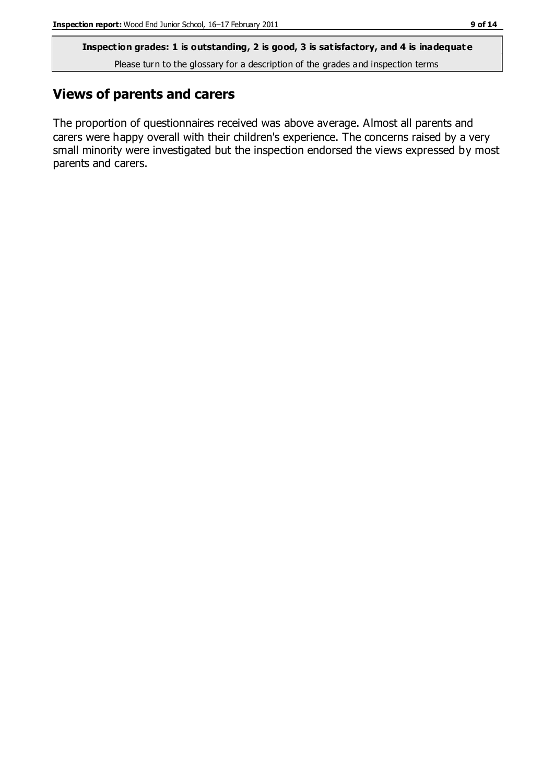**Inspection grades: 1 is outstanding, 2 is good, 3 is satisfactory, and 4 is inadequat e**

Please turn to the glossary for a description of the grades and inspection terms

#### **Views of parents and carers**

The proportion of questionnaires received was above average. Almost all parents and carers were happy overall with their children's experience. The concerns raised by a very small minority were investigated but the inspection endorsed the views expressed by most parents and carers.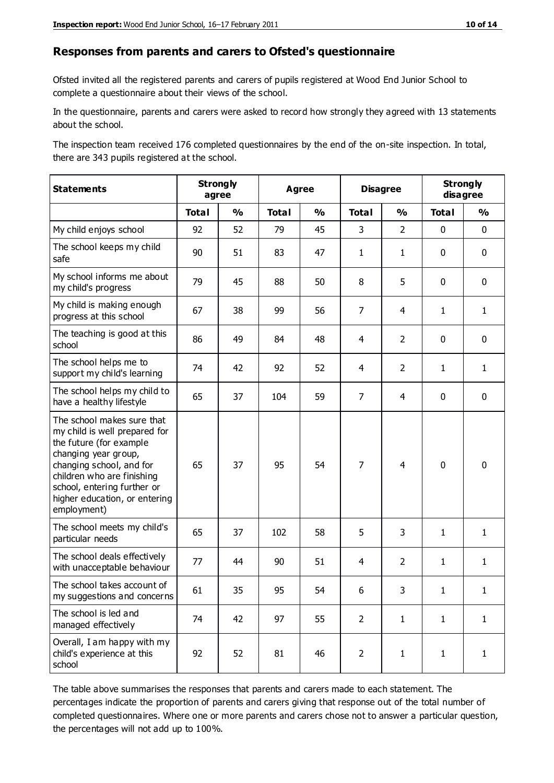#### **Responses from parents and carers to Ofsted's questionnaire**

Ofsted invited all the registered parents and carers of pupils registered at Wood End Junior School to complete a questionnaire about their views of the school.

In the questionnaire, parents and carers were asked to record how strongly they agreed with 13 statements about the school.

The inspection team received 176 completed questionnaires by the end of the on-site inspection. In total, there are 343 pupils registered at the school.

| <b>Statements</b>                                                                                                                                                                                                                                       | <b>Strongly</b><br>agree |               | <b>Disagree</b><br><b>Agree</b> |               |                |                | <b>Strongly</b><br>disagree |               |
|---------------------------------------------------------------------------------------------------------------------------------------------------------------------------------------------------------------------------------------------------------|--------------------------|---------------|---------------------------------|---------------|----------------|----------------|-----------------------------|---------------|
|                                                                                                                                                                                                                                                         | <b>Total</b>             | $\frac{0}{0}$ | <b>Total</b>                    | $\frac{0}{0}$ | <b>Total</b>   | $\frac{0}{0}$  | <b>Total</b>                | $\frac{0}{0}$ |
| My child enjoys school                                                                                                                                                                                                                                  | 92                       | 52            | 79                              | 45            | 3              | $\overline{2}$ | $\mathbf 0$                 | $\mathbf 0$   |
| The school keeps my child<br>safe                                                                                                                                                                                                                       | 90                       | 51            | 83                              | 47            | $\mathbf{1}$   | $\mathbf{1}$   | $\mathbf 0$                 | $\mathbf 0$   |
| My school informs me about<br>my child's progress                                                                                                                                                                                                       | 79                       | 45            | 88                              | 50            | 8              | 5              | $\mathbf 0$                 | $\mathbf 0$   |
| My child is making enough<br>progress at this school                                                                                                                                                                                                    | 67                       | 38            | 99                              | 56            | $\overline{7}$ | 4              | $\mathbf{1}$                | $\mathbf{1}$  |
| The teaching is good at this<br>school                                                                                                                                                                                                                  | 86                       | 49            | 84                              | 48            | 4              | $\overline{2}$ | $\mathbf 0$                 | $\mathbf 0$   |
| The school helps me to<br>support my child's learning                                                                                                                                                                                                   | 74                       | 42            | 92                              | 52            | 4              | $\overline{2}$ | $\mathbf{1}$                | $\mathbf{1}$  |
| The school helps my child to<br>have a healthy lifestyle                                                                                                                                                                                                | 65                       | 37            | 104                             | 59            | $\overline{7}$ | 4              | $\mathbf 0$                 | $\mathbf 0$   |
| The school makes sure that<br>my child is well prepared for<br>the future (for example<br>changing year group,<br>changing school, and for<br>children who are finishing<br>school, entering further or<br>higher education, or entering<br>employment) | 65                       | 37            | 95                              | 54            | $\overline{7}$ | $\overline{4}$ | $\mathbf 0$                 | $\mathbf 0$   |
| The school meets my child's<br>particular needs                                                                                                                                                                                                         | 65                       | 37            | 102                             | 58            | 5              | 3              | $\mathbf{1}$                | $\mathbf{1}$  |
| The school deals effectively<br>with unacceptable behaviour                                                                                                                                                                                             | 77                       | 44            | 90                              | 51            | 4              | $\overline{2}$ | $\mathbf{1}$                | $\mathbf{1}$  |
| The school takes account of<br>my suggestions and concerns                                                                                                                                                                                              | 61                       | 35            | 95                              | 54            | 6              | 3              | 1                           | 1             |
| The school is led and<br>managed effectively                                                                                                                                                                                                            | 74                       | 42            | 97                              | 55            | $\overline{2}$ | $\mathbf{1}$   | $\mathbf{1}$                | $\mathbf{1}$  |
| Overall, I am happy with my<br>child's experience at this<br>school                                                                                                                                                                                     | 92                       | 52            | 81                              | 46            | $\overline{2}$ | $\mathbf{1}$   | $\mathbf{1}$                | $\mathbf{1}$  |

The table above summarises the responses that parents and carers made to each statement. The percentages indicate the proportion of parents and carers giving that response out of the total number of completed questionnaires. Where one or more parents and carers chose not to answer a particular question, the percentages will not add up to 100%.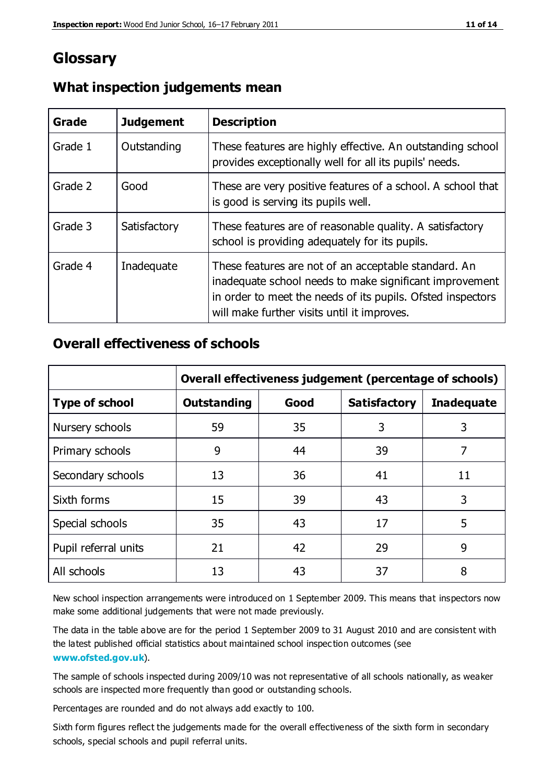### **Glossary**

| Grade   | <b>Judgement</b> | <b>Description</b>                                                                                                                                                                                                            |
|---------|------------------|-------------------------------------------------------------------------------------------------------------------------------------------------------------------------------------------------------------------------------|
| Grade 1 | Outstanding      | These features are highly effective. An outstanding school<br>provides exceptionally well for all its pupils' needs.                                                                                                          |
| Grade 2 | Good             | These are very positive features of a school. A school that<br>is good is serving its pupils well.                                                                                                                            |
| Grade 3 | Satisfactory     | These features are of reasonable quality. A satisfactory<br>school is providing adequately for its pupils.                                                                                                                    |
| Grade 4 | Inadequate       | These features are not of an acceptable standard. An<br>inadequate school needs to make significant improvement<br>in order to meet the needs of its pupils. Ofsted inspectors<br>will make further visits until it improves. |

#### **What inspection judgements mean**

#### **Overall effectiveness of schools**

|                       | Overall effectiveness judgement (percentage of schools) |      |                     |                   |
|-----------------------|---------------------------------------------------------|------|---------------------|-------------------|
| <b>Type of school</b> | <b>Outstanding</b>                                      | Good | <b>Satisfactory</b> | <b>Inadequate</b> |
| Nursery schools       | 59                                                      | 35   | 3                   | 3                 |
| Primary schools       | 9                                                       | 44   | 39                  | 7                 |
| Secondary schools     | 13                                                      | 36   | 41                  | 11                |
| Sixth forms           | 15                                                      | 39   | 43                  | 3                 |
| Special schools       | 35                                                      | 43   | 17                  | 5                 |
| Pupil referral units  | 21                                                      | 42   | 29                  | 9                 |
| All schools           | 13                                                      | 43   | 37                  | 8                 |

New school inspection arrangements were introduced on 1 September 2009. This means that inspectors now make some additional judgements that were not made previously.

The data in the table above are for the period 1 September 2009 to 31 August 2010 and are consistent with the latest published official statistics about maintained school inspec tion outcomes (see **[www.ofsted.gov.uk](http://www.ofsted.gov.uk/)**).

The sample of schools inspected during 2009/10 was not representative of all schools nationally, as weaker schools are inspected more frequently than good or outstanding schools.

Percentages are rounded and do not always add exactly to 100.

Sixth form figures reflect the judgements made for the overall effectiveness of the sixth form in secondary schools, special schools and pupil referral units.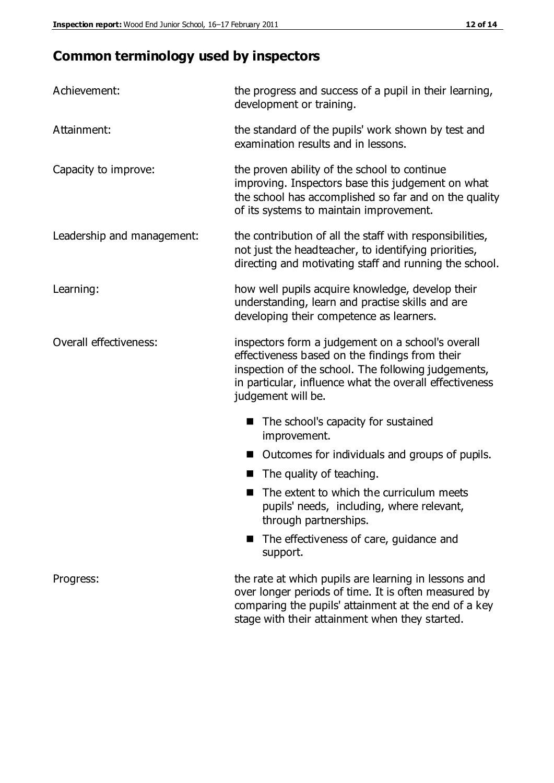# **Common terminology used by inspectors**

| Achievement:               | the progress and success of a pupil in their learning,<br>development or training.                                                                                                                                                          |  |  |
|----------------------------|---------------------------------------------------------------------------------------------------------------------------------------------------------------------------------------------------------------------------------------------|--|--|
| Attainment:                | the standard of the pupils' work shown by test and<br>examination results and in lessons.                                                                                                                                                   |  |  |
| Capacity to improve:       | the proven ability of the school to continue<br>improving. Inspectors base this judgement on what<br>the school has accomplished so far and on the quality<br>of its systems to maintain improvement.                                       |  |  |
| Leadership and management: | the contribution of all the staff with responsibilities,<br>not just the headteacher, to identifying priorities,<br>directing and motivating staff and running the school.                                                                  |  |  |
| Learning:                  | how well pupils acquire knowledge, develop their<br>understanding, learn and practise skills and are<br>developing their competence as learners.                                                                                            |  |  |
| Overall effectiveness:     | inspectors form a judgement on a school's overall<br>effectiveness based on the findings from their<br>inspection of the school. The following judgements,<br>in particular, influence what the overall effectiveness<br>judgement will be. |  |  |
|                            | The school's capacity for sustained<br>improvement.                                                                                                                                                                                         |  |  |
|                            | Outcomes for individuals and groups of pupils.                                                                                                                                                                                              |  |  |
|                            | The quality of teaching.                                                                                                                                                                                                                    |  |  |
|                            | The extent to which the curriculum meets<br>pupils' needs, including, where relevant,<br>through partnerships.                                                                                                                              |  |  |
|                            | The effectiveness of care, guidance and<br>support.                                                                                                                                                                                         |  |  |
| Progress:                  | the rate at which pupils are learning in lessons and<br>over longer periods of time. It is often measured by<br>comparing the pupils' attainment at the end of a key                                                                        |  |  |

stage with their attainment when they started.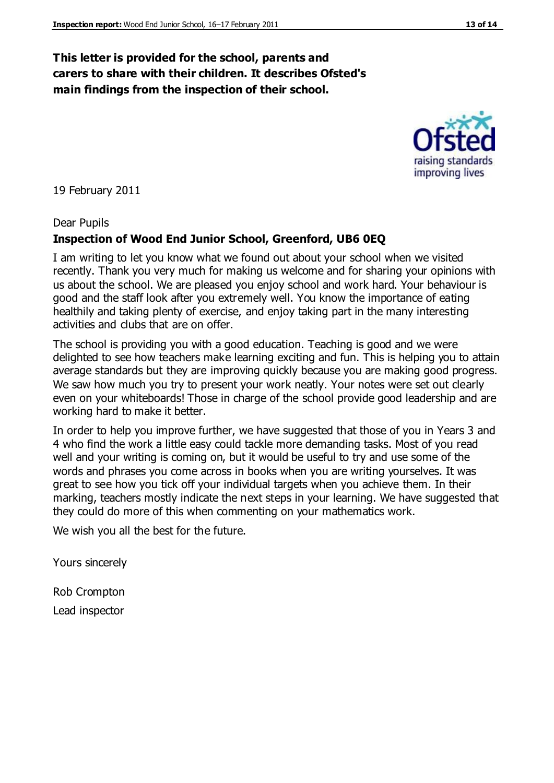#### **This letter is provided for the school, parents and carers to share with their children. It describes Ofsted's main findings from the inspection of their school.**

19 February 2011

#### Dear Pupils

#### **Inspection of Wood End Junior School, Greenford, UB6 0EQ**

I am writing to let you know what we found out about your school when we visited recently. Thank you very much for making us welcome and for sharing your opinions with us about the school. We are pleased you enjoy school and work hard. Your behaviour is good and the staff look after you extremely well. You know the importance of eating healthily and taking plenty of exercise, and enjoy taking part in the many interesting activities and clubs that are on offer.

The school is providing you with a good education. Teaching is good and we were delighted to see how teachers make learning exciting and fun. This is helping you to attain average standards but they are improving quickly because you are making good progress. We saw how much you try to present your work neatly. Your notes were set out clearly even on your whiteboards! Those in charge of the school provide good leadership and are working hard to make it better.

In order to help you improve further, we have suggested that those of you in Years 3 and 4 who find the work a little easy could tackle more demanding tasks. Most of you read well and your writing is coming on, but it would be useful to try and use some of the words and phrases you come across in books when you are writing yourselves. It was great to see how you tick off your individual targets when you achieve them. In their marking, teachers mostly indicate the next steps in your learning. We have suggested that they could do more of this when commenting on your mathematics work.

We wish you all the best for the future.

Yours sincerely

Rob Crompton Lead inspector